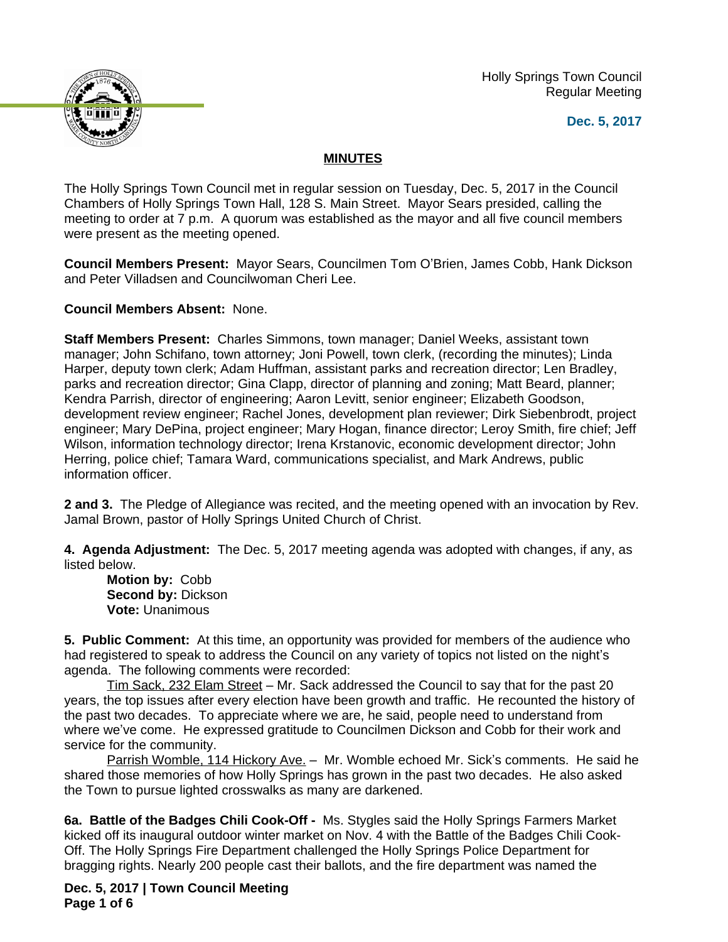Holly Springs Town Council Regular Meeting





## **MINUTES**

The Holly Springs Town Council met in regular session on Tuesday, Dec. 5, 2017 in the Council Chambers of Holly Springs Town Hall, 128 S. Main Street. Mayor Sears presided, calling the meeting to order at 7 p.m. A quorum was established as the mayor and all five council members were present as the meeting opened.

**Council Members Present:** Mayor Sears, Councilmen Tom O'Brien, James Cobb, Hank Dickson and Peter Villadsen and Councilwoman Cheri Lee.

**Council Members Absent:** None.

**Staff Members Present:** Charles Simmons, town manager; Daniel Weeks, assistant town manager; John Schifano, town attorney; Joni Powell, town clerk, (recording the minutes); Linda Harper, deputy town clerk; Adam Huffman, assistant parks and recreation director; Len Bradley, parks and recreation director; Gina Clapp, director of planning and zoning; Matt Beard, planner; Kendra Parrish, director of engineering; Aaron Levitt, senior engineer; Elizabeth Goodson, development review engineer; Rachel Jones, development plan reviewer; Dirk Siebenbrodt, project engineer; Mary DePina, project engineer; Mary Hogan, finance director; Leroy Smith, fire chief; Jeff Wilson, information technology director; Irena Krstanovic, economic development director; John Herring, police chief; Tamara Ward, communications specialist, and Mark Andrews, public information officer.

**2 and 3.** The Pledge of Allegiance was recited, and the meeting opened with an invocation by Rev. Jamal Brown, pastor of Holly Springs United Church of Christ.

**4. Agenda Adjustment:** The Dec. 5, 2017 meeting agenda was adopted with changes, if any, as listed below.

**Motion by:** Cobb **Second by:** Dickson **Vote:** Unanimous

**5. Public Comment:** At this time, an opportunity was provided for members of the audience who had registered to speak to address the Council on any variety of topics not listed on the night's agenda. The following comments were recorded:

Tim Sack, 232 Elam Street – Mr. Sack addressed the Council to say that for the past 20 years, the top issues after every election have been growth and traffic. He recounted the history of the past two decades. To appreciate where we are, he said, people need to understand from where we've come. He expressed gratitude to Councilmen Dickson and Cobb for their work and service for the community.

Parrish Womble, 114 Hickory Ave. - Mr. Womble echoed Mr. Sick's comments. He said he shared those memories of how Holly Springs has grown in the past two decades. He also asked the Town to pursue lighted crosswalks as many are darkened.

**6a. Battle of the Badges Chili Cook-Off -** Ms. Stygles said the Holly Springs Farmers Market kicked off its inaugural outdoor winter market on Nov. 4 with the Battle of the Badges Chili Cook-Off. The Holly Springs Fire Department challenged the Holly Springs Police Department for bragging rights. Nearly 200 people cast their ballots, and the fire department was named the

**Dec. 5, 2017 | Town Council Meeting Page 1 of 6**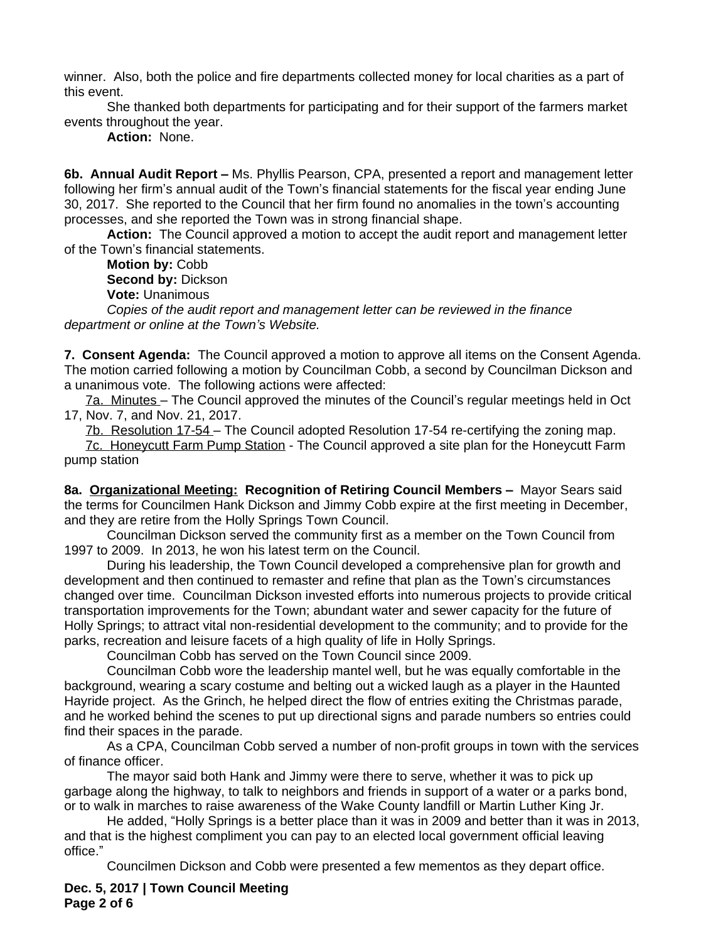winner. Also, both the police and fire departments collected money for local charities as a part of this event.

She thanked both departments for participating and for their support of the farmers market events throughout the year.

**Action:** None.

**6b. Annual Audit Report –** Ms. Phyllis Pearson, CPA, presented a report and management letter following her firm's annual audit of the Town's financial statements for the fiscal year ending June 30, 2017. She reported to the Council that her firm found no anomalies in the town's accounting processes, and she reported the Town was in strong financial shape.

**Action:** The Council approved a motion to accept the audit report and management letter of the Town's financial statements.

**Motion by:** Cobb **Second by:** Dickson **Vote:** Unanimous

*Copies of the audit report and management letter can be reviewed in the finance department or online at the Town's Website.*

**7. Consent Agenda:** The Council approved a motion to approve all items on the Consent Agenda. The motion carried following a motion by Councilman Cobb, a second by Councilman Dickson and a unanimous vote. The following actions were affected:

7a. Minutes – The Council approved the minutes of the Council's regular meetings held in Oct 17, Nov. 7, and Nov. 21, 2017.

7b. Resolution 17-54 – The Council adopted Resolution 17-54 re-certifying the zoning map. 7c. Honeycutt Farm Pump Station - The Council approved a site plan for the Honeycutt Farm pump station

**8a. Organizational Meeting: Recognition of Retiring Council Members –** Mayor Sears said the terms for Councilmen Hank Dickson and Jimmy Cobb expire at the first meeting in December, and they are retire from the Holly Springs Town Council.

Councilman Dickson served the community first as a member on the Town Council from 1997 to 2009. In 2013, he won his latest term on the Council.

During his leadership, the Town Council developed a comprehensive plan for growth and development and then continued to remaster and refine that plan as the Town's circumstances changed over time. Councilman Dickson invested efforts into numerous projects to provide critical transportation improvements for the Town; abundant water and sewer capacity for the future of Holly Springs; to attract vital non-residential development to the community; and to provide for the parks, recreation and leisure facets of a high quality of life in Holly Springs.

Councilman Cobb has served on the Town Council since 2009.

Councilman Cobb wore the leadership mantel well, but he was equally comfortable in the background, wearing a scary costume and belting out a wicked laugh as a player in the Haunted Hayride project. As the Grinch, he helped direct the flow of entries exiting the Christmas parade, and he worked behind the scenes to put up directional signs and parade numbers so entries could find their spaces in the parade.

As a CPA, Councilman Cobb served a number of non-profit groups in town with the services of finance officer.

The mayor said both Hank and Jimmy were there to serve, whether it was to pick up garbage along the highway, to talk to neighbors and friends in support of a water or a parks bond, or to walk in marches to raise awareness of the Wake County landfill or Martin Luther King Jr.

He added, "Holly Springs is a better place than it was in 2009 and better than it was in 2013, and that is the highest compliment you can pay to an elected local government official leaving office."

Councilmen Dickson and Cobb were presented a few mementos as they depart office.

**Dec. 5, 2017 | Town Council Meeting Page 2 of 6**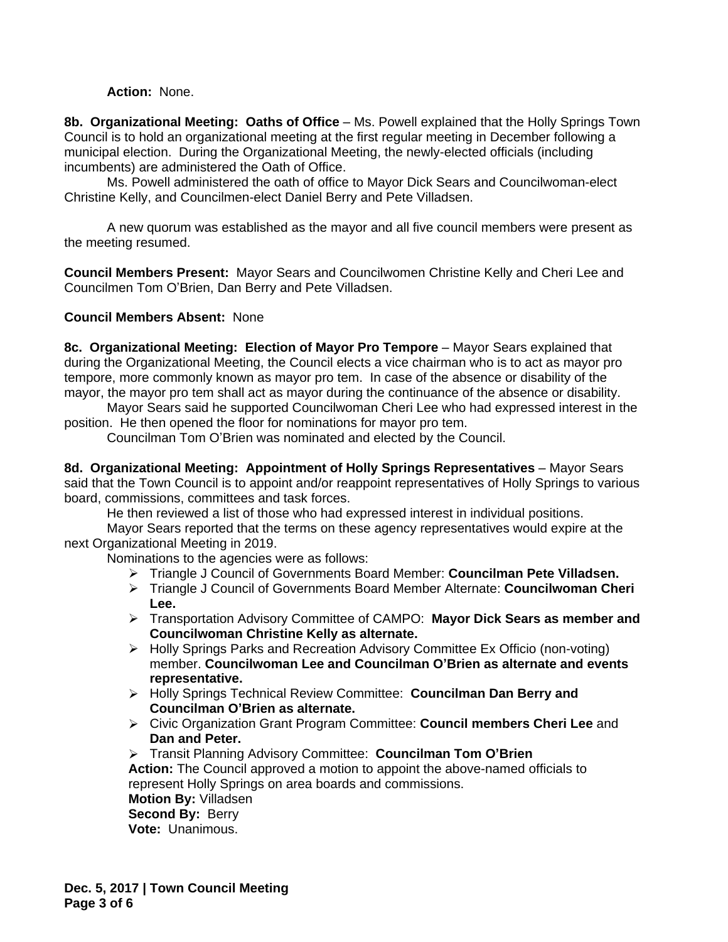## **Action:** None.

**8b. Organizational Meeting: Oaths of Office** – Ms. Powell explained that the Holly Springs Town Council is to hold an organizational meeting at the first regular meeting in December following a municipal election. During the Organizational Meeting, the newly-elected officials (including incumbents) are administered the Oath of Office.

Ms. Powell administered the oath of office to Mayor Dick Sears and Councilwoman-elect Christine Kelly, and Councilmen-elect Daniel Berry and Pete Villadsen.

A new quorum was established as the mayor and all five council members were present as the meeting resumed.

**Council Members Present:** Mayor Sears and Councilwomen Christine Kelly and Cheri Lee and Councilmen Tom O'Brien, Dan Berry and Pete Villadsen.

## **Council Members Absent:** None

**8c. Organizational Meeting: Election of Mayor Pro Tempore** – Mayor Sears explained that during the Organizational Meeting, the Council elects a vice chairman who is to act as mayor pro tempore, more commonly known as mayor pro tem. In case of the absence or disability of the mayor, the mayor pro tem shall act as mayor during the continuance of the absence or disability.

Mayor Sears said he supported Councilwoman Cheri Lee who had expressed interest in the position. He then opened the floor for nominations for mayor pro tem.

Councilman Tom O'Brien was nominated and elected by the Council.

**8d. Organizational Meeting: Appointment of Holly Springs Representatives** – Mayor Sears said that the Town Council is to appoint and/or reappoint representatives of Holly Springs to various board, commissions, committees and task forces.

He then reviewed a list of those who had expressed interest in individual positions.

Mayor Sears reported that the terms on these agency representatives would expire at the next Organizational Meeting in 2019.

Nominations to the agencies were as follows:

- Triangle J Council of Governments Board Member: **Councilman Pete Villadsen.**
- Triangle J Council of Governments Board Member Alternate: **Councilwoman Cheri Lee.**
- Transportation Advisory Committee of CAMPO: **Mayor Dick Sears as member and Councilwoman Christine Kelly as alternate.**
- Holly Springs Parks and Recreation Advisory Committee Ex Officio (non-voting) member. **Councilwoman Lee and Councilman O'Brien as alternate and events representative.**
- Holly Springs Technical Review Committee: **Councilman Dan Berry and Councilman O'Brien as alternate.**
- Civic Organization Grant Program Committee: **Council members Cheri Lee** and **Dan and Peter.**

 Transit Planning Advisory Committee: **Councilman Tom O'Brien Action:** The Council approved a motion to appoint the above-named officials to represent Holly Springs on area boards and commissions. **Motion By:** Villadsen

**Second By: Berry Vote:** Unanimous.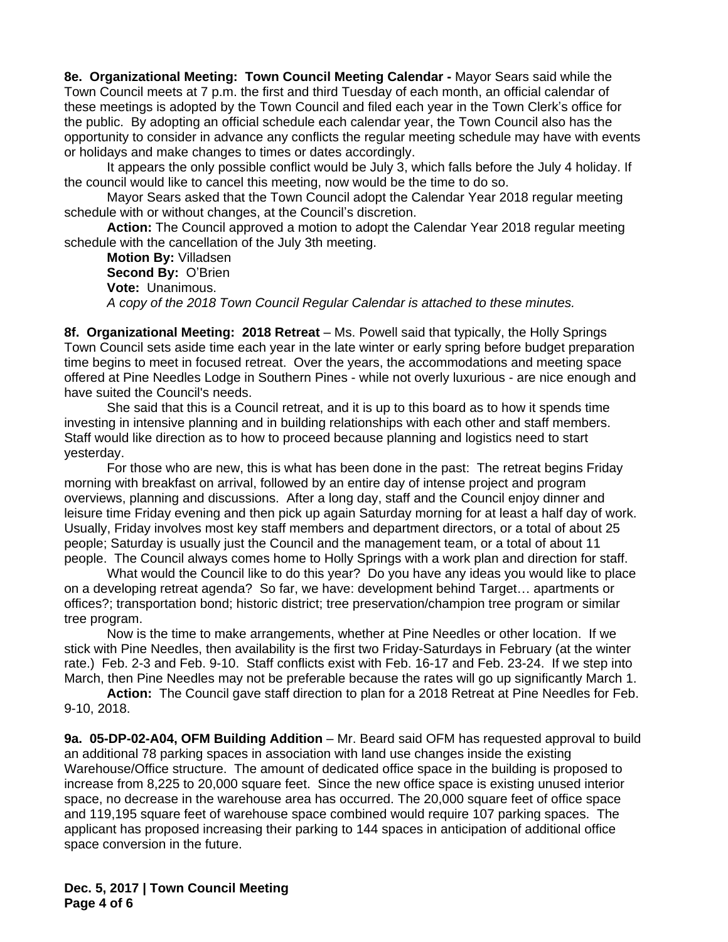**8e. Organizational Meeting: Town Council Meeting Calendar -** Mayor Sears said while the Town Council meets at 7 p.m. the first and third Tuesday of each month, an official calendar of these meetings is adopted by the Town Council and filed each year in the Town Clerk's office for the public. By adopting an official schedule each calendar year, the Town Council also has the opportunity to consider in advance any conflicts the regular meeting schedule may have with events or holidays and make changes to times or dates accordingly.

It appears the only possible conflict would be July 3, which falls before the July 4 holiday. If the council would like to cancel this meeting, now would be the time to do so.

Mayor Sears asked that the Town Council adopt the Calendar Year 2018 regular meeting schedule with or without changes, at the Council's discretion.

**Action:** The Council approved a motion to adopt the Calendar Year 2018 regular meeting schedule with the cancellation of the July 3th meeting.

**Motion By:** Villadsen **Second By:** O'Brien **Vote:** Unanimous. *A copy of the 2018 Town Council Regular Calendar is attached to these minutes.*

8f. Organizational Meeting: 2018 Retreat - Ms. Powell said that typically, the Holly Springs Town Council sets aside time each year in the late winter or early spring before budget preparation time begins to meet in focused retreat. Over the years, the accommodations and meeting space offered at Pine Needles Lodge in Southern Pines - while not overly luxurious - are nice enough and have suited the Council's needs.

She said that this is a Council retreat, and it is up to this board as to how it spends time investing in intensive planning and in building relationships with each other and staff members. Staff would like direction as to how to proceed because planning and logistics need to start yesterday.

For those who are new, this is what has been done in the past: The retreat begins Friday morning with breakfast on arrival, followed by an entire day of intense project and program overviews, planning and discussions. After a long day, staff and the Council enjoy dinner and leisure time Friday evening and then pick up again Saturday morning for at least a half day of work. Usually, Friday involves most key staff members and department directors, or a total of about 25 people; Saturday is usually just the Council and the management team, or a total of about 11 people. The Council always comes home to Holly Springs with a work plan and direction for staff.

What would the Council like to do this year? Do you have any ideas you would like to place on a developing retreat agenda? So far, we have: development behind Target… apartments or offices?; transportation bond; historic district; tree preservation/champion tree program or similar tree program.

Now is the time to make arrangements, whether at Pine Needles or other location. If we stick with Pine Needles, then availability is the first two Friday-Saturdays in February (at the winter rate.) Feb. 2-3 and Feb. 9-10. Staff conflicts exist with Feb. 16-17 and Feb. 23-24. If we step into March, then Pine Needles may not be preferable because the rates will go up significantly March 1.

**Action:** The Council gave staff direction to plan for a 2018 Retreat at Pine Needles for Feb. 9-10, 2018.

**9a. 05-DP-02-A04, OFM Building Addition** – Mr. Beard said OFM has requested approval to build an additional 78 parking spaces in association with land use changes inside the existing Warehouse/Office structure. The amount of dedicated office space in the building is proposed to increase from 8,225 to 20,000 square feet. Since the new office space is existing unused interior space, no decrease in the warehouse area has occurred. The 20,000 square feet of office space and 119,195 square feet of warehouse space combined would require 107 parking spaces. The applicant has proposed increasing their parking to 144 spaces in anticipation of additional office space conversion in the future.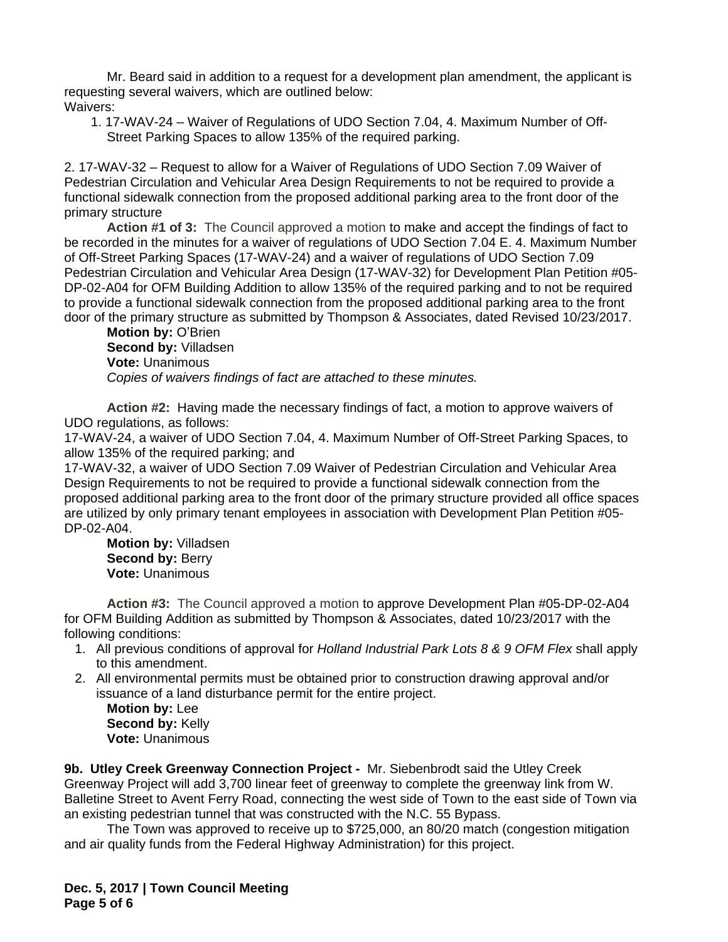Mr. Beard said in addition to a request for a development plan amendment, the applicant is requesting several waivers, which are outlined below: Waivers:

1. 17-WAV-24 – Waiver of Regulations of UDO Section 7.04, 4. Maximum Number of Off-Street Parking Spaces to allow 135% of the required parking.

2. 17-WAV-32 – Request to allow for a Waiver of Regulations of UDO Section 7.09 Waiver of Pedestrian Circulation and Vehicular Area Design Requirements to not be required to provide a functional sidewalk connection from the proposed additional parking area to the front door of the primary structure

**Action #1 of 3:** The Council approved a motion to make and accept the findings of fact to be recorded in the minutes for a waiver of regulations of UDO Section 7.04 E. 4. Maximum Number of Off-Street Parking Spaces (17-WAV-24) and a waiver of regulations of UDO Section 7.09 Pedestrian Circulation and Vehicular Area Design (17-WAV-32) for Development Plan Petition #05- DP-02-A04 for OFM Building Addition to allow 135% of the required parking and to not be required to provide a functional sidewalk connection from the proposed additional parking area to the front door of the primary structure as submitted by Thompson & Associates, dated Revised 10/23/2017.

**Motion by:** O'Brien **Second by:** Villadsen **Vote:** Unanimous *Copies of waivers findings of fact are attached to these minutes.*

**Action #2:** Having made the necessary findings of fact, a motion to approve waivers of UDO regulations, as follows:

17-WAV-24, a waiver of UDO Section 7.04, 4. Maximum Number of Off-Street Parking Spaces, to allow 135% of the required parking; and

17-WAV-32, a waiver of UDO Section 7.09 Waiver of Pedestrian Circulation and Vehicular Area Design Requirements to not be required to provide a functional sidewalk connection from the proposed additional parking area to the front door of the primary structure provided all office spaces are utilized by only primary tenant employees in association with Development Plan Petition #05- DP-02-A04.

**Motion by:** Villadsen **Second by: Berry Vote:** Unanimous

**Action #3:** The Council approved a motion to approve Development Plan #05-DP-02-A04 for OFM Building Addition as submitted by Thompson & Associates, dated 10/23/2017 with the following conditions:

- 1. All previous conditions of approval for *Holland Industrial Park Lots 8 & 9 OFM Flex* shall apply to this amendment.
- 2. All environmental permits must be obtained prior to construction drawing approval and/or issuance of a land disturbance permit for the entire project.

**Motion by:** Lee **Second by:** Kelly **Vote:** Unanimous

**9b. Utley Creek Greenway Connection Project -** Mr. Siebenbrodt said the Utley Creek Greenway Project will add 3,700 linear feet of greenway to complete the greenway link from W. Balletine Street to Avent Ferry Road, connecting the west side of Town to the east side of Town via an existing pedestrian tunnel that was constructed with the N.C. 55 Bypass.

The Town was approved to receive up to \$725,000, an 80/20 match (congestion mitigation and air quality funds from the Federal Highway Administration) for this project.